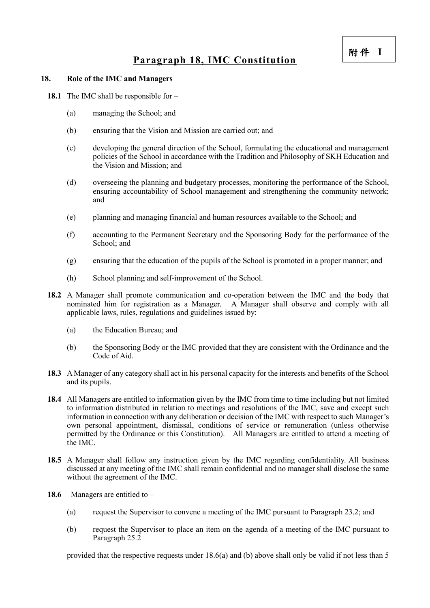## **Paragraph 18, IMC Constitution**

## **18. Role of the IMC and Managers**

- **18.1** The IMC shall be responsible for
	- (a) managing the School; and
	- (b) ensuring that the Vision and Mission are carried out; and
	- (c) developing the general direction of the School, formulating the educational and management policies of the School in accordance with the Tradition and Philosophy of SKH Education and the Vision and Mission; and
	- (d) overseeing the planning and budgetary processes, monitoring the performance of the School, ensuring accountability of School management and strengthening the community network; and
	- (e) planning and managing financial and human resources available to the School; and
	- (f) accounting to the Permanent Secretary and the Sponsoring Body for the performance of the School: and
	- (g) ensuring that the education of the pupils of the School is promoted in a proper manner; and
	- (h) School planning and self-improvement of the School.
- **18.2** A Manager shall promote communication and co-operation between the IMC and the body that nominated him for registration as a Manager. A Manager shall observe and comply with all applicable laws, rules, regulations and guidelines issued by:
	- (a) the Education Bureau; and
	- (b) the Sponsoring Body or the IMC provided that they are consistent with the Ordinance and the Code of Aid.
- **18.3** A Manager of any category shall act in his personal capacity for the interests and benefits of the School and its pupils.
- **18.4** All Managers are entitled to information given by the IMC from time to time including but not limited to information distributed in relation to meetings and resolutions of the IMC, save and except such information in connection with any deliberation or decision of the IMC with respect to such Manager's own personal appointment, dismissal, conditions of service or remuneration (unless otherwise permitted by the Ordinance or this Constitution). All Managers are entitled to attend a meeting of the IMC.
- **18.5** A Manager shall follow any instruction given by the IMC regarding confidentiality. All business discussed at any meeting of the IMC shall remain confidential and no manager shall disclose the same without the agreement of the IMC.
- **18.6** Managers are entitled to
	- (a) request the Supervisor to convene a meeting of the IMC pursuant to Paragraph 23.2; and
	- (b) request the Supervisor to place an item on the agenda of a meeting of the IMC pursuant to Paragraph 25.2

provided that the respective requests under 18.6(a) and (b) above shall only be valid if not less than 5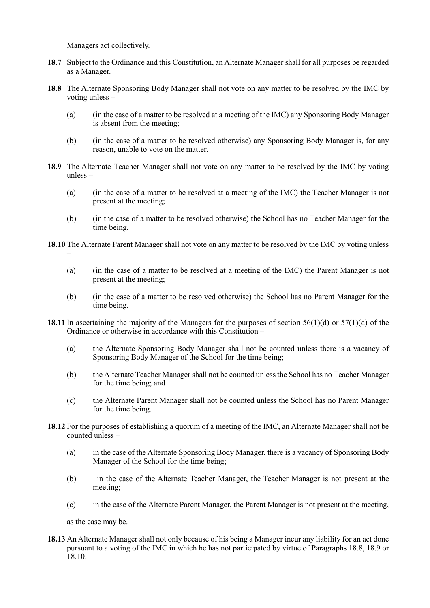Managers act collectively.

–

- **18.7** Subject to the Ordinance and this Constitution, an Alternate Manager shall for all purposes be regarded as a Manager.
- **18.8** The Alternate Sponsoring Body Manager shall not vote on any matter to be resolved by the IMC by voting unless –
	- (a) (in the case of a matter to be resolved at a meeting of the IMC) any Sponsoring Body Manager is absent from the meeting;
	- (b) (in the case of a matter to be resolved otherwise) any Sponsoring Body Manager is, for any reason, unable to vote on the matter.
- **18.9** The Alternate Teacher Manager shall not vote on any matter to be resolved by the IMC by voting unless –
	- (a) (in the case of a matter to be resolved at a meeting of the IMC) the Teacher Manager is not present at the meeting;
	- (b) (in the case of a matter to be resolved otherwise) the School has no Teacher Manager for the time being.

**18.10** The Alternate Parent Manager shall not vote on any matter to be resolved by the IMC by voting unless

- (a) (in the case of a matter to be resolved at a meeting of the IMC) the Parent Manager is not present at the meeting;
- (b) (in the case of a matter to be resolved otherwise) the School has no Parent Manager for the time being.
- **18.11** In ascertaining the majority of the Managers for the purposes of section 56(1)(d) or 57(1)(d) of the Ordinance or otherwise in accordance with this Constitution –
	- (a) the Alternate Sponsoring Body Manager shall not be counted unless there is a vacancy of Sponsoring Body Manager of the School for the time being;
	- (b) the Alternate Teacher Manager shall not be counted unless the School has no Teacher Manager for the time being; and
	- (c) the Alternate Parent Manager shall not be counted unless the School has no Parent Manager for the time being.
- **18.12** For the purposes of establishing a quorum of a meeting of the IMC, an Alternate Manager shall not be counted unless –
	- (a) in the case of the Alternate Sponsoring Body Manager, there is a vacancy of Sponsoring Body Manager of the School for the time being;
	- (b) in the case of the Alternate Teacher Manager, the Teacher Manager is not present at the meeting;
	- (c) in the case of the Alternate Parent Manager, the Parent Manager is not present at the meeting,

as the case may be.

**18.13** An Alternate Manager shall not only because of his being a Manager incur any liability for an act done pursuant to a voting of the IMC in which he has not participated by virtue of Paragraphs 18.8, 18.9 or  $\hat{18.10}$ .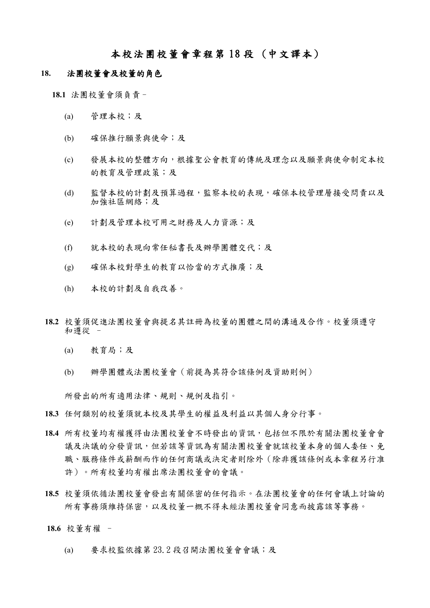## 本校法團校董會章程第 18 段 (中文譯本)

## **18.** 法團校董會及校董的角色

**18.1** 法團校董會須負責–

- (a) 管理本校;及
- (b) 確保推行願景與使命;及
- (c) 發展本校的整體方向,根據聖公會教育的傳統及理念以及願景與使命制定本校 的教育及管理政策;及
- (d) 監督本校的計劃及預算過程,監察本校的表現,確保本校管理層接受問責以及 加強社區網絡;及
- (e) 計劃及管理本校可用之財務及人力資源;及
- (f) 就本校的表現向常任秘書長及辦學團體交代;及
- (g) 確保本校對學生的教育以恰當的方式推廣;及
- (h) 本校的計劃及自我改善。
- **18.2** 校董須促進法團校董會與提名其註冊為校董的團體之間的溝通及合作。校董須遵守 和遵從 –
	- (a) 教育局;及
	- (b) 辦學團體或法團校董會(前提為其符合該條例及資助則例)

所發出的所有適用法律、規則、規例及指引。

- **18.3** 任何類別的校董須就本校及其學生的權益及利益以其個人身分行事。
- **18.4** 所有校董均有權獲得由法團校董會不時發出的資訊,包括但不限於有關法團校董會會 議及決議的分發資訊,但若該等資訊為有關法團校董會就該校董本身的個人委任、免 職、服務條件或薪酬而作的任何商議或決定者則除外(除非獲該條例或本章程另行准 許)。所有校董均有權出席法團校董會的會議。
- **18.5** 校董須依循法團校董會發出有關保密的任何指示。在法團校董會的任何會議上討論的 所有事務須維持保密,以及校董一概不得未經法團校董會同意而披露該等事務。
- **18.6** 校董有權
	- (a) 要求校監依據第 23.2 段召開法團校董會會議;及